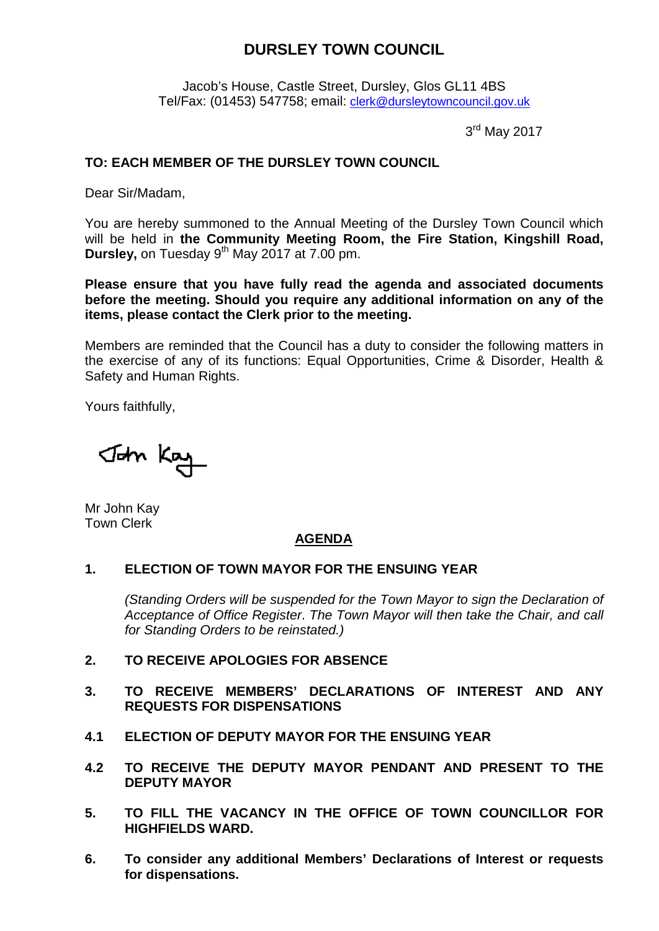# **DURSLEY TOWN COUNCIL**

Jacob's House, Castle Street, Dursley, Glos GL11 4BS Tel/Fax: (01453) 547758; email: [clerk@dursleytowncouncil.gov.uk](mailto:clerk@dursleytowncouncil.gov.uk)

3<sup>rd</sup> May 2017

## **TO: EACH MEMBER OF THE DURSLEY TOWN COUNCIL**

Dear Sir/Madam,

You are hereby summoned to the Annual Meeting of the Dursley Town Council which will be held in **the Community Meeting Room, the Fire Station, Kingshill Road, Dursley,** on Tuesday 9<sup>th</sup> May 2017 at 7.00 pm.

**Please ensure that you have fully read the agenda and associated documents before the meeting. Should you require any additional information on any of the items, please contact the Clerk prior to the meeting.** 

Members are reminded that the Council has a duty to consider the following matters in the exercise of any of its functions: Equal Opportunities, Crime & Disorder, Health & Safety and Human Rights.

Yours faithfully,

John Kay

Mr John Kay Town Clerk

## **AGENDA**

### **1. ELECTION OF TOWN MAYOR FOR THE ENSUING YEAR**

*(Standing Orders will be suspended for the Town Mayor to sign the Declaration of Acceptance of Office Register*. *The Town Mayor will then take the Chair, and call for Standing Orders to be reinstated.)*

- **2. TO RECEIVE APOLOGIES FOR ABSENCE**
- **3. TO RECEIVE MEMBERS' DECLARATIONS OF INTEREST AND ANY REQUESTS FOR DISPENSATIONS**
- **4.1 ELECTION OF DEPUTY MAYOR FOR THE ENSUING YEAR**
- **4.2 TO RECEIVE THE DEPUTY MAYOR PENDANT AND PRESENT TO THE DEPUTY MAYOR**
- **5. TO FILL THE VACANCY IN THE OFFICE OF TOWN COUNCILLOR FOR HIGHFIELDS WARD.**
- **6. To consider any additional Members' Declarations of Interest or requests for dispensations.**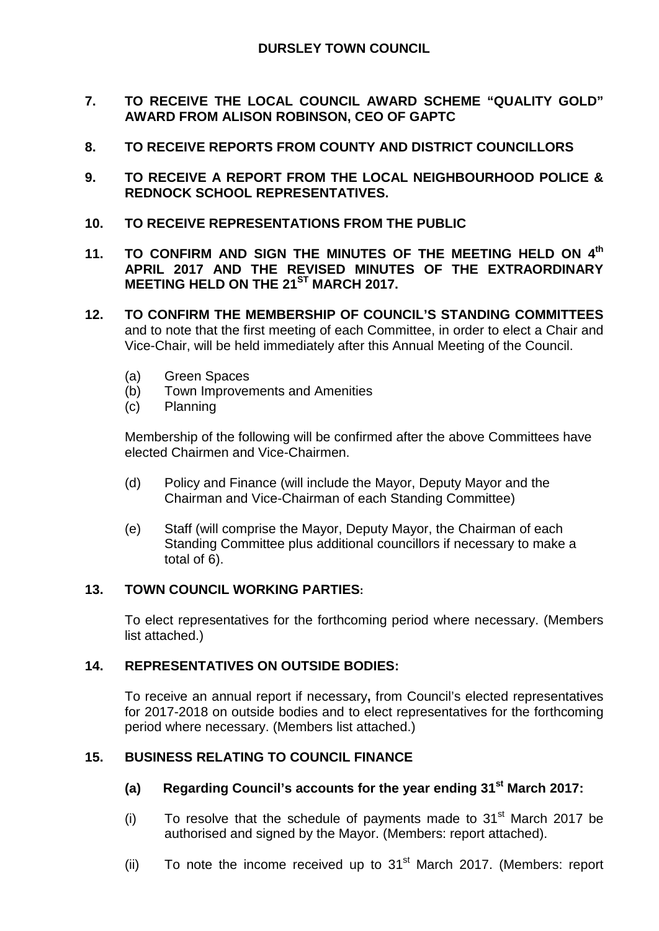- **7. TO RECEIVE THE LOCAL COUNCIL AWARD SCHEME "QUALITY GOLD" AWARD FROM ALISON ROBINSON, CEO OF GAPTC**
- **8. TO RECEIVE REPORTS FROM COUNTY AND DISTRICT COUNCILLORS**
- **9. TO RECEIVE A REPORT FROM THE LOCAL NEIGHBOURHOOD POLICE & REDNOCK SCHOOL REPRESENTATIVES.**
- **10. TO RECEIVE REPRESENTATIONS FROM THE PUBLIC**
- **11. TO CONFIRM AND SIGN THE MINUTES OF THE MEETING HELD ON 4th APRIL 2017 AND THE REVISED MINUTES OF THE EXTRAORDINARY MEETING HELD ON THE 21ST MARCH 2017.**
- **12. TO CONFIRM THE MEMBERSHIP OF COUNCIL'S STANDING COMMITTEES** and to note that the first meeting of each Committee, in order to elect a Chair and Vice-Chair, will be held immediately after this Annual Meeting of the Council.
	- (a) Green Spaces
	- (b) Town Improvements and Amenities
	- (c) Planning

Membership of the following will be confirmed after the above Committees have elected Chairmen and Vice-Chairmen.

- (d) Policy and Finance (will include the Mayor, Deputy Mayor and the Chairman and Vice-Chairman of each Standing Committee)
- (e) Staff (will comprise the Mayor, Deputy Mayor, the Chairman of each Standing Committee plus additional councillors if necessary to make a total of 6).

## **13. TOWN COUNCIL WORKING PARTIES:**

To elect representatives for the forthcoming period where necessary. (Members list attached.)

## **14. REPRESENTATIVES ON OUTSIDE BODIES:**

To receive an annual report if necessary**,** from Council's elected representatives for 2017-2018 on outside bodies and to elect representatives for the forthcoming period where necessary. (Members list attached.)

## **15. BUSINESS RELATING TO COUNCIL FINANCE**

- **(a) Regarding Council's accounts for the year ending 31st March 2017:**
- (i) To resolve that the schedule of payments made to  $31<sup>st</sup>$  March 2017 be authorised and signed by the Mayor. (Members: report attached).
- (ii) To note the income received up to  $31<sup>st</sup>$  March 2017. (Members: report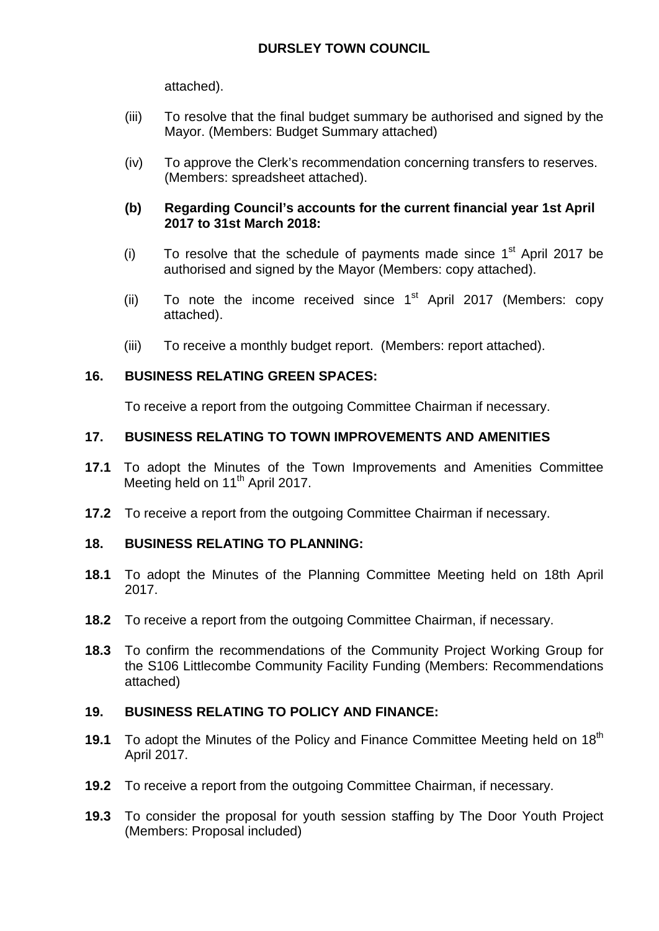attached).

- (iii) To resolve that the final budget summary be authorised and signed by the Mayor. (Members: Budget Summary attached)
- (iv) To approve the Clerk's recommendation concerning transfers to reserves. (Members: spreadsheet attached).

## **(b) Regarding Council's accounts for the current financial year 1st April 2017 to 31st March 2018:**

- (i) To resolve that the schedule of payments made since  $1<sup>st</sup>$  April 2017 be authorised and signed by the Mayor (Members: copy attached).
- (ii) To note the income received since  $1<sup>st</sup>$  April 2017 (Members: copy attached).
- (iii) To receive a monthly budget report. (Members: report attached).

## **16. BUSINESS RELATING GREEN SPACES:**

To receive a report from the outgoing Committee Chairman if necessary.

## **17. BUSINESS RELATING TO TOWN IMPROVEMENTS AND AMENITIES**

- **17.1** To adopt the Minutes of the Town Improvements and Amenities Committee Meeting held on 11<sup>th</sup> April 2017.
- **17.2** To receive a report from the outgoing Committee Chairman if necessary.

## **18. BUSINESS RELATING TO PLANNING:**

- **18.1** To adopt the Minutes of the Planning Committee Meeting held on 18th April 2017.
- **18.2** To receive a report from the outgoing Committee Chairman, if necessary.
- **18.3** To confirm the recommendations of the Community Project Working Group for the S106 Littlecombe Community Facility Funding (Members: Recommendations attached)

## **19. BUSINESS RELATING TO POLICY AND FINANCE:**

- **19.1** To adopt the Minutes of the Policy and Finance Committee Meeting held on 18<sup>th</sup> April 2017.
- **19.2** To receive a report from the outgoing Committee Chairman, if necessary.
- **19.3** To consider the proposal for youth session staffing by The Door Youth Project (Members: Proposal included)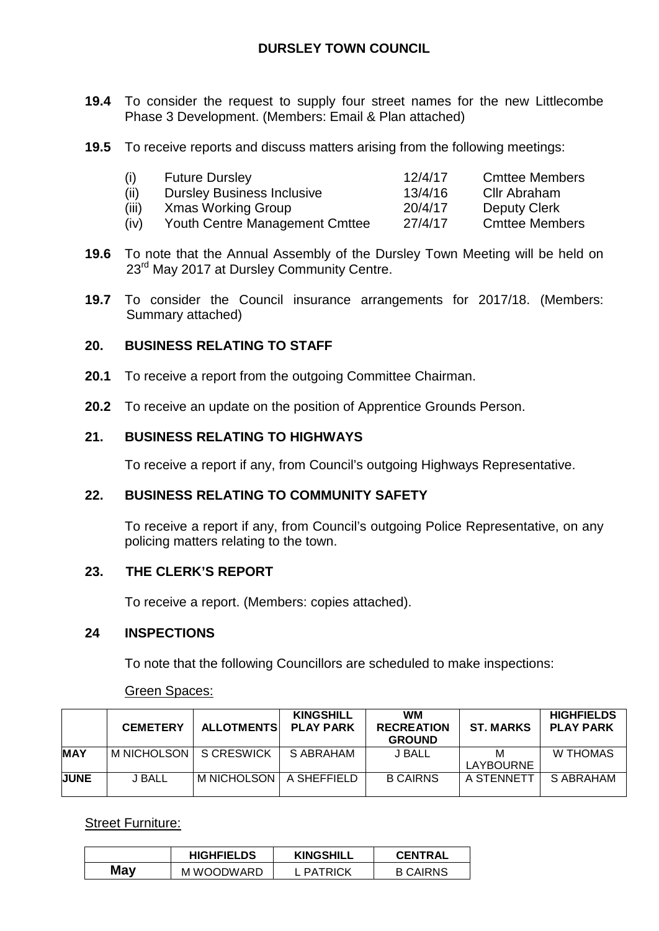# **DURSLEY TOWN COUNCIL**

- **19.4** To consider the request to supply four street names for the new Littlecombe Phase 3 Development. (Members: Email & Plan attached)
- **19.5** To receive reports and discuss matters arising from the following meetings:

| (i)   | <b>Future Dursley</b>             | 12/4/17 | <b>Cmttee Members</b> |
|-------|-----------------------------------|---------|-----------------------|
| (ii)  | <b>Dursley Business Inclusive</b> | 13/4/16 | Cllr Abraham          |
| (iii) | Xmas Working Group                | 20/4/17 | Deputy Clerk          |
| (iv)  | Youth Centre Management Cmttee    | 27/4/17 | <b>Cmttee Members</b> |

- **19.6** To note that the Annual Assembly of the Dursley Town Meeting will be held on 23<sup>rd</sup> May 2017 at Dursley Community Centre.
- **19.7** To consider the Council insurance arrangements for 2017/18. (Members: Summary attached)

## **20. BUSINESS RELATING TO STAFF**

- **20.1** To receive a report from the outgoing Committee Chairman.
- **20.2** To receive an update on the position of Apprentice Grounds Person.

## **21. BUSINESS RELATING TO HIGHWAYS**

To receive a report if any, from Council's outgoing Highways Representative.

### **22. BUSINESS RELATING TO COMMUNITY SAFETY**

To receive a report if any, from Council's outgoing Police Representative, on any policing matters relating to the town.

### **23. THE CLERK'S REPORT**

To receive a report. (Members: copies attached).

### **24 INSPECTIONS**

To note that the following Councillors are scheduled to make inspections:

### Green Spaces:

|             | <b>CEMETERY</b>          | <b>ALLOTMENTS</b>         | <b>KINGSHILL</b><br><b>PLAY PARK</b> | <b>WM</b><br><b>RECREATION</b><br><b>GROUND</b> | <b>ST. MARKS</b> | <b>HIGHFIELDS</b><br><b>PLAY PARK</b> |
|-------------|--------------------------|---------------------------|--------------------------------------|-------------------------------------------------|------------------|---------------------------------------|
| <b>MAY</b>  | M NICHOLSON   S CRESWICK |                           | S ABRAHAM                            | J BALL                                          | М                | W THOMAS                              |
|             |                          |                           |                                      |                                                 | <b>LAYBOURNE</b> |                                       |
| <b>UUNE</b> | <b>J BALL</b>            | M NICHOLSON   A SHEFFIELD |                                      | <b>B CAIRNS</b>                                 | A STENNETT       | S ABRAHAM                             |

### Street Furniture:

|     | <b>HIGHFIELDS</b> | <b>KINGSHILL</b> | <b>CENTRAL</b>  |
|-----|-------------------|------------------|-----------------|
| May | M WOODWARD        | PATRICK          | <b>B CAIRNS</b> |